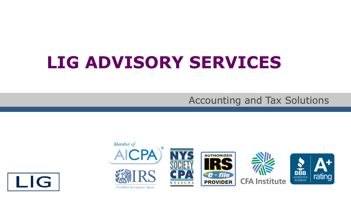# **LIG ADVISORY SERVICES**

### Accounting and Tax Solutions



I IG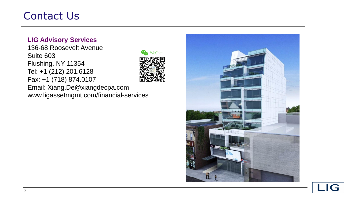## Contact Us

#### **LIG Advisory Services**

136-68 Roosevelt Avenue Suite 603 Flushing, NY 11354 Tel: +1 (212) 201.6128 Fax: +1 (718) 874.0107



Email: Xiang.De@xiangdecpa.com www.ligassetmgmt.com/financial-services



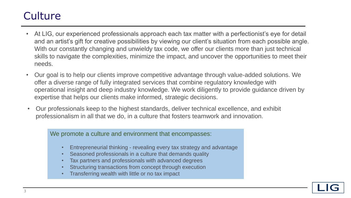# **Culture**

- At LIG, our experienced professionals approach each tax matter with a perfectionist's eye for detail and an artist's gift for creative possibilities by viewing our client's situation from each possible angle. With our constantly changing and unwieldy tax code, we offer our clients more than just technical skills to navigate the complexities, minimize the impact, and uncover the opportunities to meet their needs.
- Our goal is to help our clients improve competitive advantage through value-added solutions. We offer a diverse range of fully integrated services that combine regulatory knowledge with operational insight and deep industry knowledge. We work diligently to provide guidance driven by expertise that helps our clients make informed, strategic decisions.
- Our professionals keep to the highest standards, deliver technical excellence, and exhibit professionalism in all that we do, in a culture that fosters teamwork and innovation.

We promote a culture and environment that encompasses:

- Entrepreneurial thinking revealing every tax strategy and advantage
- Seasoned professionals in a culture that demands quality
- Tax partners and professionals with advanced degrees
- Structuring transactions from concept through execution
- Transferring wealth with little or no tax impact

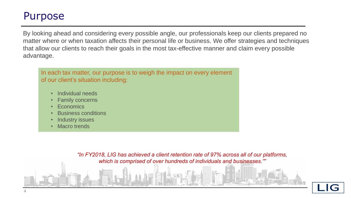### Purpose

By looking ahead and considering every possible angle, our professionals keep our clients prepared no matter where or when taxation affects their personal life or business. We offer strategies and techniques that allow our clients to reach their goals in the most tax-effective manner and claim every possible advantage.

In each tax matter, our purpose is to weigh the impact on every element of our client's situation including:

- Individual needs
- **Family concerns**
- **Economics**
- Business conditions
- **Industry issues**
- Macro trends

*"In FY2018, LIG has achieved a client retention rate of 97% across all of our platforms, which is comprised of over hundreds of individuals and businesses.""* 

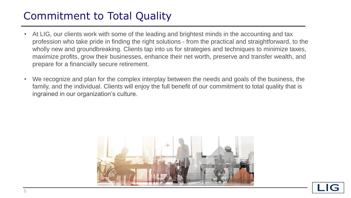# Commitment to Total Quality

- At LIG, our clients work with some of the leading and brightest minds in the accounting and tax profession who take pride in finding the right solutions - from the practical and straightforward, to the wholly new and groundbreaking. Clients tap into us for strategies and techniques to minimize taxes, maximize profits, grow their businesses, enhance their net worth, preserve and transfer wealth, and prepare for a financially secure retirement.
- We recognize and plan for the complex interplay between the needs and goals of the business, the family, and the individual. Clients will enjoy the full benefit of our commitment to total quality that is ingrained in our organization's culture.



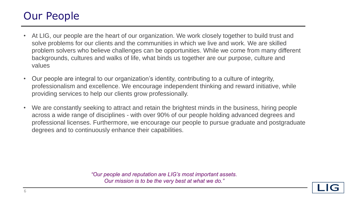# Our People

- At LIG, our people are the heart of our organization. We work closely together to build trust and solve problems for our clients and the communities in which we live and work. We are skilled problem solvers who believe challenges can be opportunities. While we come from many different backgrounds, cultures and walks of life, what binds us together are our purpose, culture and values
- Our people are integral to our organization's identity, contributing to a culture of integrity, professionalism and excellence. We encourage independent thinking and reward initiative, while providing services to help our clients grow professionally.
- We are constantly seeking to attract and retain the brightest minds in the business, hiring people across a wide range of disciplines - with over 90% of our people holding advanced degrees and professional licenses. Furthermore, we encourage our people to pursue graduate and postgraduate degrees and to continuously enhance their capabilities.

*"Our people and reputation are LIG's most important assets. Our mission is to be the very best at what we do."*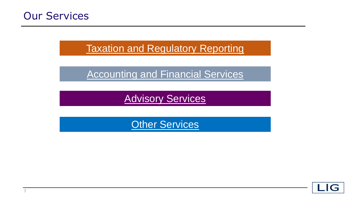

### **[Taxation and Regulatory Reporting](#page-7-0)**

**[Accounting and Financial Services](#page-13-0)** 

**[Advisory Services](#page-15-0)** 

**[Other Services](#page-17-0)** 

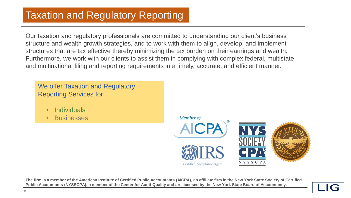<span id="page-7-0"></span>Our taxation and regulatory professionals are committed to understanding our client's business structure and wealth growth strategies, and to work with them to align, develop, and implement structures that are tax effective thereby minimizing the tax burden on their earnings and wealth. Furthermore, we work with our clients to assist them in complying with complex federal, multistate and multinational filing and reporting requirements in a timely, accurate, and efficient manner.

We offer Taxation and Regulatory Reporting Services for:

- [Individuals](#page-8-0)
- **[Businesses](#page-11-0)**

Member of



**The firm is a member of the American Institute of Certified Public Accountants (AICPA), an affiliate firm in the New York State Society of Certified Public Accountants (NYSSCPA), a member of the Center for Audit Quality and are licensed by the New York State Board of Accountancy.**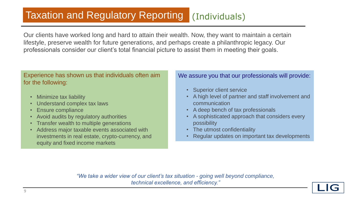## <span id="page-8-0"></span>[Taxation and Regulatory Reporting](#page-7-0) (Individuals)

Our clients have worked long and hard to attain their wealth. Now, they want to maintain a certain lifestyle, preserve wealth for future generations, and perhaps create a philanthropic legacy. Our professionals consider our client's total financial picture to assist them in meeting their goals.

#### Experience has shown us that individuals often aim for the following:

- Minimize tax liability
- Understand complex tax laws
- Ensure compliance
- Avoid audits by regulatory authorities
- Transfer wealth to multiple generations
- Address major taxable events associated with investments in real estate, crypto-currency, and equity and fixed income markets

#### We assure you that our professionals will provide:

- **Superior client service**
- A high level of partner and staff involvement and communication
- A deep bench of tax professionals
- A sophisticated approach that considers every possibility
- The utmost confidentiality
- Regular updates on important tax developments

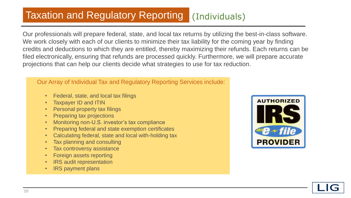# [Taxation and Regulatory Reporting](#page-7-0) (Individuals)

Our professionals will prepare federal, state, and local tax returns by utilizing the best-in-class software. We work closely with each of our clients to minimize their tax liability for the coming year by finding credits and deductions to which they are entitled, thereby maximizing their refunds. Each returns can be filed electronically, ensuring that refunds are processed quickly. Furthermore, we will prepare accurate projections that can help our clients decide what strategies to use for tax reduction.

#### Our Array of Individual Tax and Regulatory Reporting Services include:

- Federal, state, and local tax filings
- Taxpayer ID and ITIN
- Personal property tax filings
- Preparing tax projections
- Monitoring non-U.S. investor's tax compliance
- Preparing federal and state exemption certificates
- Calculating federal, state and local with-holding tax
- Tax planning and consulting
- Tax controversy assistance
- Foreign assets reporting
- IRS audit representation
- IRS payment plans



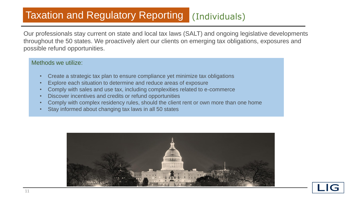### [Taxation and Regulatory Reporting](#page-7-0) (Individuals)

Our professionals stay current on state and local tax laws (SALT) and ongoing legislative developments throughout the 50 states. We proactively alert our clients on emerging tax obligations, exposures and possible refund opportunities.

#### Methods we utilize:

- Create a strategic tax plan to ensure compliance yet minimize tax obligations
- Explore each situation to determine and reduce areas of exposure
- Comply with sales and use tax, including complexities related to e-commerce
- Discover incentives and credits or refund opportunities
- Comply with complex residency rules, should the client rent or own more than one home
- Stay informed about changing tax laws in all 50 states



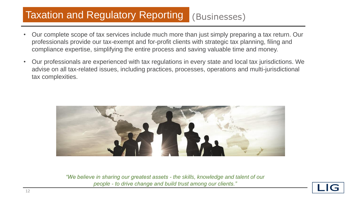# <span id="page-11-0"></span>[Taxation and Regulatory Reporting](#page-7-0) (Businesses)

- Our complete scope of tax services include much more than just simply preparing a tax return. Our professionals provide our tax-exempt and for-profit clients with strategic tax planning, filing and compliance expertise, simplifying the entire process and saving valuable time and money.
- Our professionals are experienced with tax regulations in every state and local tax jurisdictions. We advise on all tax-related issues, including practices, processes, operations and multi-jurisdictional tax complexities.



*"We believe in sharing our greatest assets - the skills, knowledge and talent of our people - to drive change and build trust among our clients."*

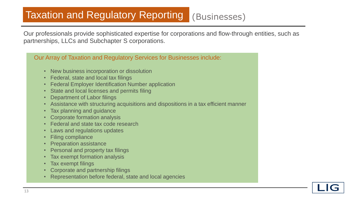# [Taxation and Regulatory Reporting](#page-7-0) (Businesses)

Our professionals provide sophisticated expertise for corporations and flow-through entities, such as partnerships, LLCs and Subchapter S corporations.

#### Our Array of Taxation and Regulatory Services for Businesses include:

- New business incorporation or dissolution
- Federal, state and local tax filings
- Federal Employer Identification Number application
- State and local licenses and permits filing
- Department of Labor filings
- Assistance with structuring acquisitions and dispositions in a tax efficient manner
- Tax planning and guidance
- Corporate formation analysis
- Federal and state tax code research
- Laws and regulations updates
- Filing compliance
- Preparation assistance
- Personal and property tax filings
- Tax exempt formation analysis
- Tax exempt filings
- Corporate and partnership filings
- Representation before federal, state and local agencies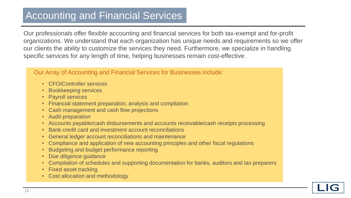### <span id="page-13-0"></span>Accounting and Financial Services

Our professionals offer flexible accounting and financial services for both tax-exempt and for-profit organizations. We understand that each organization has unique needs and requirements so we offer our clients the ability to customize the services they need. Furthermore, we specialize in handling specific services for any length of time, helping businesses remain cost-effective.

#### Our Array of Accounting and Financial Services for Businesses include:

- CFO/Controller services
- Bookkeeping services
- Payroll services
- Financial statement preparation, analysis and compilation
- Cash management and cash flow projections
- Audit preparation
- Accounts payable/cash disbursements and accounts receivable/cash receipts processing
- Bank credit card and investment account reconciliations
- General ledger account reconciliations and maintenance
- Compliance and application of new accounting principles and other fiscal regulations
- Budgeting and budget performance reporting
- Due diligence guidance
- Compilation of schedules and supporting documentation for banks, auditors and tax preparers
- Fixed asset tracking
- Cost allocation and methodology

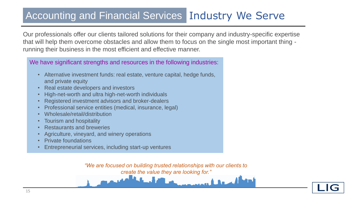### Accounting and Financial Services Industry We Serve

Our professionals offer our clients tailored solutions for their company and industry-specific expertise that will help them overcome obstacles and allow them to focus on the single most important thing running their business in the most efficient and effective manner.

We have significant strengths and resources in the following industries:

- Alternative investment funds: real estate, venture capital, hedge funds, and private equity
- Real estate developers and investors
- High-net-worth and ultra high-net-worth individuals
- Registered investment advisors and broker-dealers
- Professional service entities (medical, insurance, legal)
- Wholesale/retail/distribution
- Tourism and hospitality
- Restaurants and breweries
- Agriculture, vineyard, and winery operations
- Private foundations
- Entrepreneurial services, including start-up ventures

*"We are focused on building trusted relationships with our clients to create the value they are looking for."* 

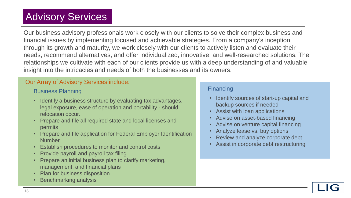# <span id="page-15-0"></span>Advisory Services

Our business advisory professionals work closely with our clients to solve their complex business and financial issues by implementing focused and achievable strategies. From a company's inception through its growth and maturity, we work closely with our clients to actively listen and evaluate their needs, recommend alternatives, and offer individualized, innovative, and well-researched solutions. The relationships we cultivate with each of our clients provide us with a deep understanding of and valuable insight into the intricacies and needs of both the businesses and its owners.

#### Our Array of Advisory Services include:

#### Business Planning

- Identify a business structure by evaluating tax advantages, legal exposure, ease of operation and portability - should relocation occur.
- Prepare and file all required state and local licenses and permits
- Prepare and file application for Federal Employer Identification **Number**
- Establish procedures to monitor and control costs
- Provide payroll and payroll tax filing
- Prepare an initial business plan to clarify marketing, management, and financial plans
- Plan for business disposition
- Benchmarking analysis

#### **Financing**

- Identify sources of start-up capital and backup sources if needed
- Assist with loan applications
- Advise on asset-based financing
- Advise on venture capital financing
- Analyze lease vs. buy options
- Review and analyze corporate debt
- Assist in corporate debt restructuring

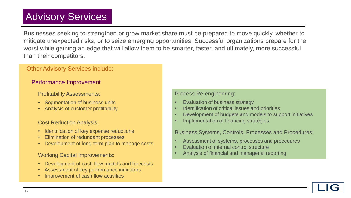# Advisory Services

Businesses seeking to strengthen or grow market share must be prepared to move quickly, whether to mitigate unexpected risks, or to seize emerging opportunities. Successful organizations prepare for the worst while gaining an edge that will allow them to be smarter, faster, and ultimately, more successful than their competitors.

#### Other Advisory Services include:

#### Performance Improvement

Profitability Assessments:

- Segmentation of business units
- Analysis of customer profitability

#### Cost Reduction Analysis:

- Identification of key expense reductions
- Elimination of redundant processes
- Development of long-term plan to manage costs

#### Working Capital Improvements:

- Development of cash flow models and forecasts
- Assessment of key performance indicators
- Improvement of cash flow activities

#### Process Re-engineering:

- Evaluation of business strategy
- Identification of critical issues and priorities
- Development of budgets and models to support initiatives
- Implementation of financing strategies

Business Systems, Controls, Processes and Procedures:

- Assessment of systems, processes and procedures
- Evaluation of internal control structure
- Analysis of financial and managerial reporting